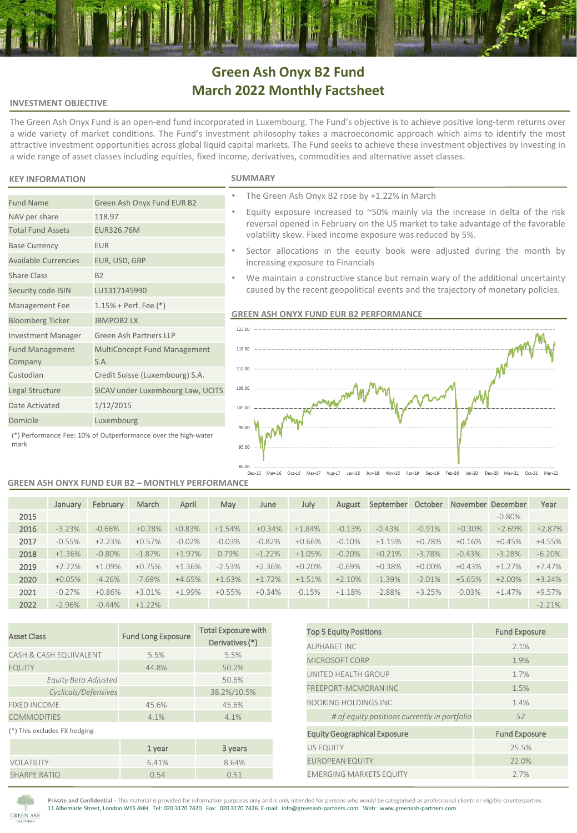# **Green Ash Onyx B2 Fund March 2022 Monthly Factsheet**

## **INVESTMENT OBJECTIVE**

The Green Ash Onyx Fund is an open-end fund incorporated in Luxembourg. The Fund's objective is to achieve positive long-term returns over a wide variety of market conditions. The Fund's investment philosophy takes a macroeconomic approach which aims to identify the most attractive investment opportunities across global liquid capital markets. The Fund seeks to achieve these investment objectives by investing in a wide range of asset classes including equities, fixed income, derivatives, commodities and alternative asset classes.

# **KEY INFORMATION SUMMARY**

NAV per share 118.97 Total Fund Assets EUR326.76M

Base Currency **EUR** 

Share Class B2

Fund Management Company

Available Currencies EUR, USD, GBP

Security code ISIN LU1317145990 Management Fee 1.15% + Perf. Fee (\*) Bloomberg Ticker JBMPOB2 LX

Date Activated 1/12/2015

Investment Manager Green Ash Partners LLP

S.A. Custodian Credit Suisse (Luxembourg) S.A. Legal Structure SICAV under Luxembourg Law, UCITS

Fund Name Green Ash Onyx Fund EUR B2

- The Green Ash Onyx B2 rose by +1.22% in March
- Equity exposure increased to  $~50\%$  mainly via the increase in delta of the risk reversal opened in February on the US market to take advantage of the favorable volatility skew. Fixed income exposure was reduced by 5%.
- Sector allocations in the equity book were adjusted during the month by increasing exposure to Financials
- We maintain a constructive stance but remain wary of the additional uncertainty caused by the recent geopolitical events and the trajectory of monetary policies.

# **GREEN ASH ONYX FUND EUR B2 PERFORMANCE**



Domicile Luxembourg (\*) Performance Fee: 10% of Outperformance over the high-water mark

#### **GREEN ASH ONYX FUND EUR B2 – MONTHLY PERFORMANCE**

MultiConcept Fund Management

|      | January  | February  | March     | April    | May      | June     | July     | August    | September | October   | November December |           | Year      |
|------|----------|-----------|-----------|----------|----------|----------|----------|-----------|-----------|-----------|-------------------|-----------|-----------|
| 2015 |          |           |           |          |          |          |          |           |           |           |                   | $-0.80\%$ |           |
| 2016 | $-3.23%$ | $-0.66%$  | $+0.78%$  | $+0.83%$ | $+1.54%$ | $+0.34%$ | $+1.84%$ | $-0.13%$  | $-0.43%$  | $-0.91%$  | $+0.30%$          | $+2.69%$  | $+2.87%$  |
| 2017 | $-0.55%$ | $+2.23%$  | $+0.57%$  | $-0.02%$ | $-0.03%$ | $-0.82%$ | $+0.66%$ | $-0.10\%$ | $+1.15%$  | $+0.78%$  | $+0.16%$          | $+0.45%$  | $+4.55%$  |
| 2018 | $+1.36%$ | $-0.80\%$ | $-1.87%$  | $+1.97%$ | 0.79%    | $-1.22%$ | $+1.05%$ | $-0.20%$  | $+0.21%$  | $-3.78%$  | $-0.43%$          | $-3.28%$  | $-6.20%$  |
| 2019 | $+2.72%$ | $+1.09%$  | $+0.75%$  | $+1.36%$ | $-2.53%$ | $+2.36%$ | $+0.20%$ | $-0.69\%$ | $+0.38%$  | $+0.00\%$ | $+0.43%$          | $+1.27%$  | $+7.47%$  |
| 2020 | $+0.05%$ | $-4.26%$  | $-7.69%$  | $+4.65%$ | $+1.63%$ | $+1.72%$ | $+1.51%$ | $+2.10%$  | $-1.39%$  | $-2.01%$  | $+5.65%$          | $+2.00\%$ | $+3.24%$  |
| 2021 | $-0.27%$ | $+0.86%$  | $+3.01%$  | $+1.99%$ | $+0.55%$ | $+0.34%$ | $-0.15%$ | $+1.18%$  | $-2.88%$  | $+3.25%$  | $-0.03%$          | $+1.47%$  | +9.57%    |
| 2022 | $-2.96%$ | $-0.44%$  | $+1.22\%$ |          |          |          |          |           |           |           |                   |           | $-2.21\%$ |

| <b>Asset Class</b>           | <b>Fund Long Exposure</b> | <b>Total Exposure with</b><br>Derivatives (*) |  |  |
|------------------------------|---------------------------|-----------------------------------------------|--|--|
| CASH & CASH EQUIVALENT       | 5.5%                      | 5.5%                                          |  |  |
| <b>EQUITY</b>                | 44.8%                     | 50.2%                                         |  |  |
| Equity Beta Adjusted         |                           | 50.6%                                         |  |  |
| Cyclicals/Defensives         |                           | 38.2%/10.5%                                   |  |  |
| <b>FIXED INCOME</b>          | 45.6%                     | 45.6%                                         |  |  |
| <b>COMMODITIES</b>           | 4.1%                      | 4.1%                                          |  |  |
| (*) This excludes FX hedging |                           |                                               |  |  |
|                              | 1 year                    | 3 years                                       |  |  |
| VOLATILITY                   | 6.41%                     | 8.64%                                         |  |  |
| <b>SHARPE RATIO</b>          | 0.54                      | 0.51                                          |  |  |

| <b>Top 5 Equity Positions</b>                | <b>Fund Exposure</b> |  |  |  |
|----------------------------------------------|----------------------|--|--|--|
| <b>ALPHABET INC</b>                          | 2.1%                 |  |  |  |
| MICROSOFT CORP                               | 1.9%                 |  |  |  |
| UNITED HEALTH GROUP                          | 1.7%                 |  |  |  |
| <b>FREEPORT-MCMORAN INC</b>                  | 1.5%                 |  |  |  |
| <b>BOOKING HOLDINGS INC</b>                  | 1.4%                 |  |  |  |
| # of equity positions currently in portfolio | 52                   |  |  |  |
| <b>Equity Geographical Exposure</b>          | <b>Fund Exposure</b> |  |  |  |
| <b>US EQUITY</b>                             | 25.5%                |  |  |  |
| <b>EUROPEAN EQUITY</b>                       | 22.0%                |  |  |  |
| <b>EMERGING MARKETS EQUITY</b>               | 2.7%                 |  |  |  |



**Private and Confidential -** This material is provided for information purposes only and is only intended for persons who would be categorised as professional clients or eligible counterparties. 11 Albemarle Street, London W1S 4HH Tel: 020 3170 7420 Fax: 020 3170 7426. E-mail: info@greenash-partners.com Web: www.greenash-partners.com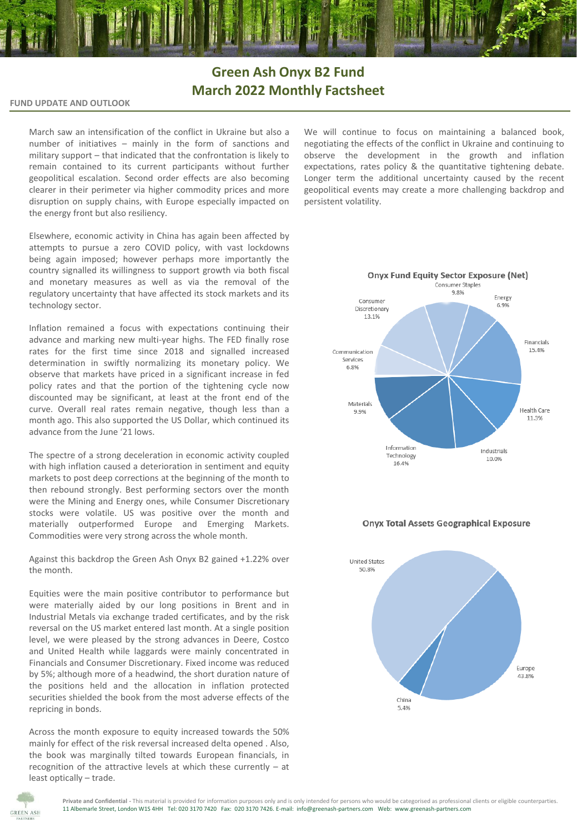# **Green Ash Onyx B2 Fund March 2022 Monthly Factsheet**

## **FUND UPDATE AND OUTLOOK**

March saw an intensification of the conflict in Ukraine but also a number of initiatives – mainly in the form of sanctions and military support – that indicated that the confrontation is likely to remain contained to its current participants without further geopolitical escalation. Second order effects are also becoming clearer in their perimeter via higher commodity prices and more disruption on supply chains, with Europe especially impacted on the energy front but also resiliency.

Elsewhere, economic activity in China has again been affected by attempts to pursue a zero COVID policy, with vast lockdowns being again imposed; however perhaps more importantly the country signalled its willingness to support growth via both fiscal and monetary measures as well as via the removal of the regulatory uncertainty that have affected its stock markets and its technology sector.

Inflation remained a focus with expectations continuing their advance and marking new multi-year highs. The FED finally rose rates for the first time since 2018 and signalled increased determination in swiftly normalizing its monetary policy. We observe that markets have priced in a significant increase in fed policy rates and that the portion of the tightening cycle now discounted may be significant, at least at the front end of the curve. Overall real rates remain negative, though less than a month ago. This also supported the US Dollar, which continued its advance from the June '21 lows.

The spectre of a strong deceleration in economic activity coupled with high inflation caused a deterioration in sentiment and equity markets to post deep corrections at the beginning of the month to then rebound strongly. Best performing sectors over the month were the Mining and Energy ones, while Consumer Discretionary stocks were volatile. US was positive over the month and materially outperformed Europe and Emerging Markets. Commodities were very strong across the whole month.

Against this backdrop the Green Ash Onyx B2 gained +1.22% over the month.

Equities were the main positive contributor to performance but were materially aided by our long positions in Brent and in Industrial Metals via exchange traded certificates, and by the risk reversal on the US market entered last month. At a single position level, we were pleased by the strong advances in Deere, Costco and United Health while laggards were mainly concentrated in Financials and Consumer Discretionary. Fixed income was reduced by 5%; although more of a headwind, the short duration nature of the positions held and the allocation in inflation protected securities shielded the book from the most adverse effects of the repricing in bonds.

Across the month exposure to equity increased towards the 50% mainly for effect of the risk reversal increased delta opened . Also, the book was marginally tilted towards European financials, in recognition of the attractive levels at which these currently – at least optically – trade.

We will continue to focus on maintaining a balanced book, negotiating the effects of the conflict in Ukraine and continuing to observe the development in the growth and inflation expectations, rates policy & the quantitative tightening debate. Longer term the additional uncertainty caused by the recent geopolitical events may create a more challenging backdrop and persistent volatility.



## **Onyx Total Assets Geographical Exposure**